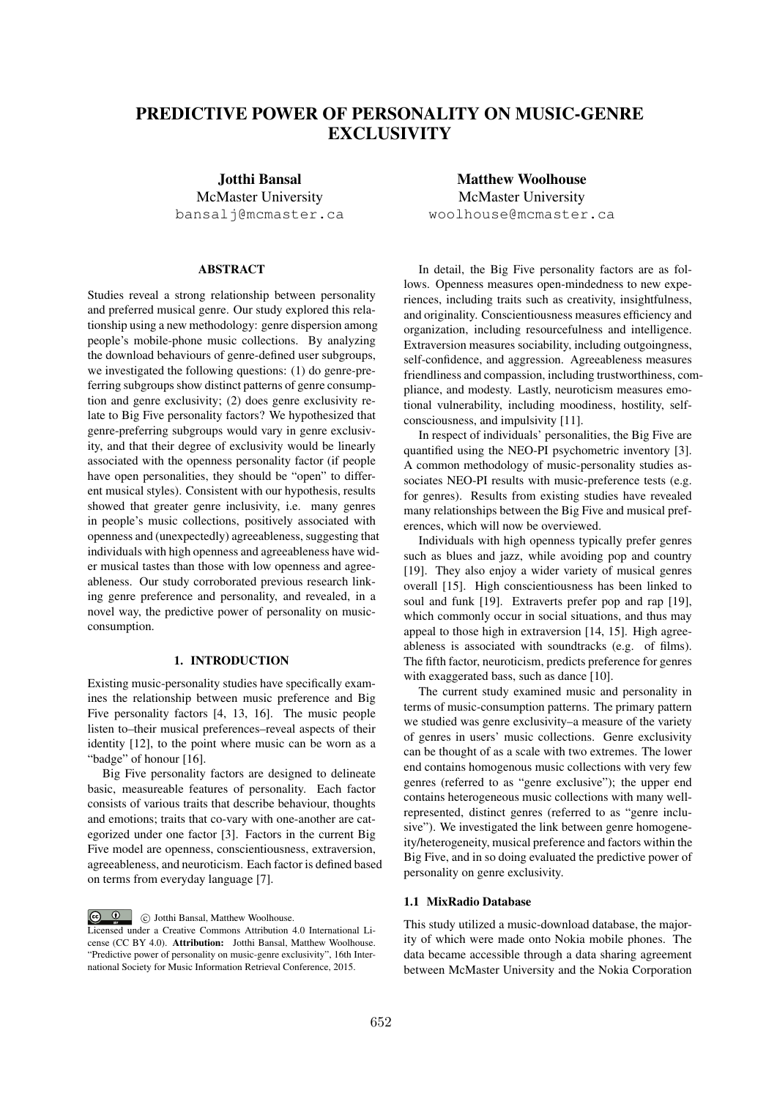# PREDICTIVE POWER OF PERSONALITY ON MUSIC-GENRE **EXCLUSIVITY**

Jotthi Bansal McMaster University bansalj@mcmaster.ca

# ABSTRACT

Studies reveal a strong relationship between personality and preferred musical genre. Our study explored this relationship using a new methodology: genre dispersion among people's mobile-phone music collections. By analyzing the download behaviours of genre-defined user subgroups, we investigated the following questions: (1) do genre-preferring subgroups show distinct patterns of genre consumption and genre exclusivity; (2) does genre exclusivity relate to Big Five personality factors? We hypothesized that genre-preferring subgroups would vary in genre exclusivity, and that their degree of exclusivity would be linearly associated with the openness personality factor (if people have open personalities, they should be "open" to different musical styles). Consistent with our hypothesis, results showed that greater genre inclusivity, i.e. many genres in people's music collections, positively associated with openness and (unexpectedly) agreeableness, suggesting that individuals with high openness and agreeableness have wider musical tastes than those with low openness and agreeableness. Our study corroborated previous research linking genre preference and personality, and revealed, in a novel way, the predictive power of personality on musicconsumption.

# 1. INTRODUCTION

Existing music-personality studies have specifically examines the relationship between music preference and Big Five personality factors [4, 13, 16]. The music people listen to–their musical preferences–reveal aspects of their identity [12], to the point where music can be worn as a "badge" of honour [16].

Big Five personality factors are designed to delineate basic, measureable features of personality. Each factor consists of various traits that describe behaviour, thoughts and emotions; traits that co-vary with one-another are categorized under one factor [3]. Factors in the current Big Five model are openness, conscientiousness, extraversion, agreeableness, and neuroticism. Each factor is defined based on terms from everyday language [7].

Matthew Woolhouse McMaster University woolhouse@mcmaster.ca

In detail, the Big Five personality factors are as follows. Openness measures open-mindedness to new experiences, including traits such as creativity, insightfulness, and originality. Conscientiousness measures efficiency and organization, including resourcefulness and intelligence. Extraversion measures sociability, including outgoingness, self-confidence, and aggression. Agreeableness measures friendliness and compassion, including trustworthiness, compliance, and modesty. Lastly, neuroticism measures emotional vulnerability, including moodiness, hostility, selfconsciousness, and impulsivity [11].

In respect of individuals' personalities, the Big Five are quantified using the NEO-PI psychometric inventory [3]. A common methodology of music-personality studies associates NEO-PI results with music-preference tests (e.g. for genres). Results from existing studies have revealed many relationships between the Big Five and musical preferences, which will now be overviewed.

Individuals with high openness typically prefer genres such as blues and jazz, while avoiding pop and country [19]. They also enjoy a wider variety of musical genres overall [15]. High conscientiousness has been linked to soul and funk [19]. Extraverts prefer pop and rap [19]. which commonly occur in social situations, and thus may appeal to those high in extraversion [14, 15]. High agreeableness is associated with soundtracks (e.g. of films). The fifth factor, neuroticism, predicts preference for genres with exaggerated bass, such as dance [10].

The current study examined music and personality in terms of music-consumption patterns. The primary pattern we studied was genre exclusivity–a measure of the variety of genres in users' music collections. Genre exclusivity can be thought of as a scale with two extremes. The lower end contains homogenous music collections with very few genres (referred to as "genre exclusive"); the upper end contains heterogeneous music collections with many wellrepresented, distinct genres (referred to as "genre inclusive"). We investigated the link between genre homogeneity/heterogeneity, musical preference and factors within the Big Five, and in so doing evaluated the predictive power of personality on genre exclusivity.

### 1.1 MixRadio Database

This study utilized a music-download database, the majority of which were made onto Nokia mobile phones. The data became accessible through a data sharing agreement between McMaster University and the Nokia Corporation

**c Q c** Jotthi Bansal, Matthew Woolhouse. Licensed under a Creative Commons Attribution 4.0 International License (CC BY 4.0). Attribution: Jotthi Bansal, Matthew Woolhouse. "Predictive power of personality on music-genre exclusivity", 16th International Society for Music Information Retrieval Conference, 2015.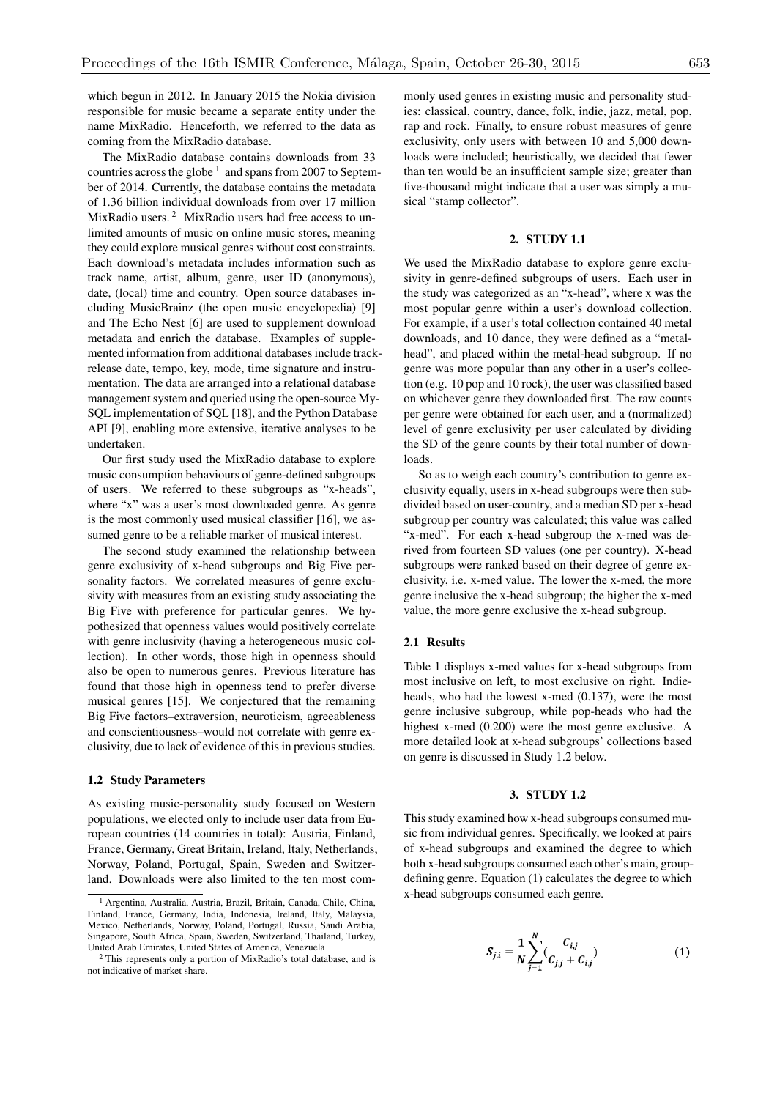which begun in 2012. In January 2015 the Nokia division responsible for music became a separate entity under the name MixRadio. Henceforth, we referred to the data as coming from the MixRadio database.

The MixRadio database contains downloads from 33 countries across the globe  $<sup>1</sup>$  and spans from 2007 to Septem-</sup> ber of 2014. Currently, the database contains the metadata of 1.36 billion individual downloads from over 17 million MixRadio users.<sup>2</sup> MixRadio users had free access to unlimited amounts of music on online music stores, meaning they could explore musical genres without cost constraints. Each download's metadata includes information such as track name, artist, album, genre, user ID (anonymous), date, (local) time and country. Open source databases including MusicBrainz (the open music encyclopedia) [9] and The Echo Nest [6] are used to supplement download metadata and enrich the database. Examples of supplemented information from additional databases include trackrelease date, tempo, key, mode, time signature and instrumentation. The data are arranged into a relational database management system and queried using the open-source My-SQL implementation of SQL [18], and the Python Database API [9], enabling more extensive, iterative analyses to be undertaken.

Our first study used the MixRadio database to explore music consumption behaviours of genre-defined subgroups of users. We referred to these subgroups as "x-heads", where "x" was a user's most downloaded genre. As genre is the most commonly used musical classifier [16], we assumed genre to be a reliable marker of musical interest.

The second study examined the relationship between genre exclusivity of x-head subgroups and Big Five personality factors. We correlated measures of genre exclusivity with measures from an existing study associating the Big Five with preference for particular genres. We hypothesized that openness values would positively correlate with genre inclusivity (having a heterogeneous music collection). In other words, those high in openness should also be open to numerous genres. Previous literature has found that those high in openness tend to prefer diverse musical genres [15]. We conjectured that the remaining Big Five factors–extraversion, neuroticism, agreeableness and conscientiousness–would not correlate with genre exclusivity, due to lack of evidence of this in previous studies.

# 1.2 Study Parameters

As existing music-personality study focused on Western populations, we elected only to include user data from European countries (14 countries in total): Austria, Finland, France, Germany, Great Britain, Ireland, Italy, Netherlands, Norway, Poland, Portugal, Spain, Sweden and Switzerland. Downloads were also limited to the ten most commonly used genres in existing music and personality studies: classical, country, dance, folk, indie, jazz, metal, pop, rap and rock. Finally, to ensure robust measures of genre exclusivity, only users with between 10 and 5,000 downloads were included; heuristically, we decided that fewer than ten would be an insufficient sample size; greater than five-thousand might indicate that a user was simply a musical "stamp collector".

# 2. STUDY 1.1

We used the MixRadio database to explore genre exclusivity in genre-defined subgroups of users. Each user in the study was categorized as an "x-head", where x was the most popular genre within a user's download collection. For example, if a user's total collection contained 40 metal downloads, and 10 dance, they were defined as a "metalhead", and placed within the metal-head subgroup. If no genre was more popular than any other in a user's collection (e.g. 10 pop and 10 rock), the user was classified based on whichever genre they downloaded first. The raw counts per genre were obtained for each user, and a (normalized) level of genre exclusivity per user calculated by dividing the SD of the genre counts by their total number of downloads.

So as to weigh each country's contribution to genre exclusivity equally, users in x-head subgroups were then subdivided based on user-country, and a median SD per x-head subgroup per country was calculated; this value was called "x-med". For each x-head subgroup the x-med was derived from fourteen SD values (one per country). X-head subgroups were ranked based on their degree of genre exclusivity, i.e. x-med value. The lower the x-med, the more genre inclusive the x-head subgroup; the higher the x-med value, the more genre exclusive the x-head subgroup.

#### 2.1 Results

Table 1 displays x-med values for x-head subgroups from most inclusive on left, to most exclusive on right. Indieheads, who had the lowest x-med (0.137), were the most genre inclusive subgroup, while pop-heads who had the highest x-med (0.200) were the most genre exclusive. A more detailed look at x-head subgroups' collections based on genre is discussed in Study 1.2 below.

#### 3. STUDY 1.2

This study examined how x-head subgroups consumed music from individual genres. Specifically, we looked at pairs of x-head subgroups and examined the degree to which both x-head subgroups consumed each other's main, groupdefining genre. Equation (1) calculates the degree to which x-head subgroups consumed each genre.

$$
S_{j,i} = \frac{1}{N} \sum_{j=1}^{N} \left( \frac{C_{i,j}}{C_{j,j} + C_{i,j}} \right)
$$
 (1)

<sup>1</sup> Argentina, Australia, Austria, Brazil, Britain, Canada, Chile, China, Finland, France, Germany, India, Indonesia, Ireland, Italy, Malaysia, Mexico, Netherlands, Norway, Poland, Portugal, Russia, Saudi Arabia, Singapore, South Africa, Spain, Sweden, Switzerland, Thailand, Turkey, United Arab Emirates, United States of America, Venezuela

<sup>&</sup>lt;sup>2</sup> This represents only a portion of MixRadio's total database, and is not indicative of market share.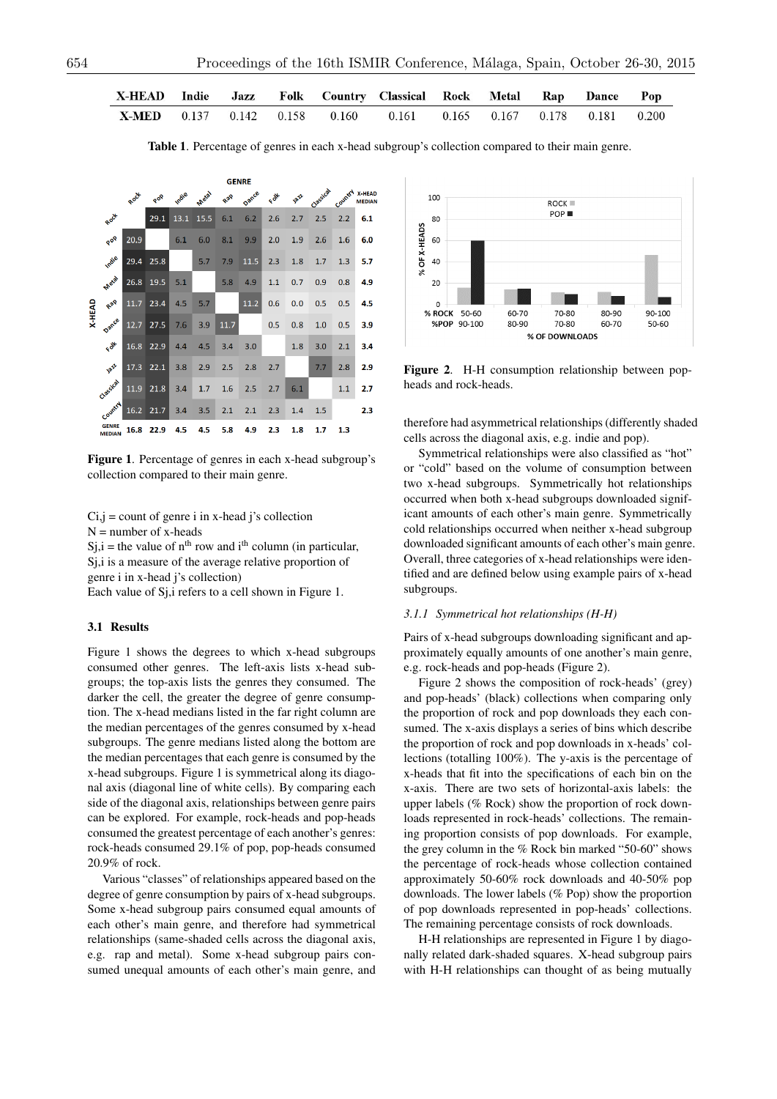| X-HEAD Indie Jazz Folk Country Classical Rock Metal Rap Dance Pop        |  |  |  |  |  |
|--------------------------------------------------------------------------|--|--|--|--|--|
| <b>X-MED</b> 0.137 0.142 0.158 0.160 0.161 0.165 0.167 0.178 0.181 0.200 |  |  |  |  |  |

Table 1. Percentage of genres in each x-head subgroup's collection compared to their main genre.



Figure 1. Percentage of genres in each x-head subgroup's collection compared to their main genre.

 $Ci, j = count of genre i in x-head j's collection$  $N =$  number of x-heads

 $Si, i$  = the value of n<sup>th</sup> row and i<sup>th</sup> column (in particular,

Sj,i is a measure of the average relative proportion of genre i in x-head j's collection)

Each value of Sj,i refers to a cell shown in Figure 1.

## 3.1 Results

Figure 1 shows the degrees to which x-head subgroups consumed other genres. The left-axis lists x-head subgroups; the top-axis lists the genres they consumed. The darker the cell, the greater the degree of genre consumption. The x-head medians listed in the far right column are the median percentages of the genres consumed by x-head subgroups. The genre medians listed along the bottom are the median percentages that each genre is consumed by the x-head subgroups. Figure 1 is symmetrical along its diagonal axis (diagonal line of white cells). By comparing each side of the diagonal axis, relationships between genre pairs can be explored. For example, rock-heads and pop-heads consumed the greatest percentage of each another's genres: rock-heads consumed 29.1% of pop, pop-heads consumed 20.9% of rock.

Various "classes" of relationships appeared based on the degree of genre consumption by pairs of x-head subgroups. Some x-head subgroup pairs consumed equal amounts of each other's main genre, and therefore had symmetrical relationships (same-shaded cells across the diagonal axis, e.g. rap and metal). Some x-head subgroup pairs consumed unequal amounts of each other's main genre, and



Figure 2. H-H consumption relationship between popheads and rock-heads.

therefore had asymmetrical relationships (differently shaded cells across the diagonal axis, e.g. indie and pop).

Symmetrical relationships were also classified as "hot" or "cold" based on the volume of consumption between two x-head subgroups. Symmetrically hot relationships occurred when both x-head subgroups downloaded significant amounts of each other's main genre. Symmetrically cold relationships occurred when neither x-head subgroup downloaded significant amounts of each other's main genre. Overall, three categories of x-head relationships were identified and are defined below using example pairs of x-head subgroups.

#### *3.1.1 Symmetrical hot relationships (H-H)*

Pairs of x-head subgroups downloading significant and approximately equally amounts of one another's main genre, e.g. rock-heads and pop-heads (Figure 2).

Figure 2 shows the composition of rock-heads' (grey) and pop-heads' (black) collections when comparing only the proportion of rock and pop downloads they each consumed. The x-axis displays a series of bins which describe the proportion of rock and pop downloads in x-heads' collections (totalling 100%). The y-axis is the percentage of x-heads that fit into the specifications of each bin on the x-axis. There are two sets of horizontal-axis labels: the upper labels (% Rock) show the proportion of rock downloads represented in rock-heads' collections. The remaining proportion consists of pop downloads. For example, the grey column in the % Rock bin marked "50-60" shows the percentage of rock-heads whose collection contained approximately 50-60% rock downloads and 40-50% pop downloads. The lower labels (% Pop) show the proportion of pop downloads represented in pop-heads' collections. The remaining percentage consists of rock downloads.

H-H relationships are represented in Figure 1 by diagonally related dark-shaded squares. X-head subgroup pairs with H-H relationships can thought of as being mutually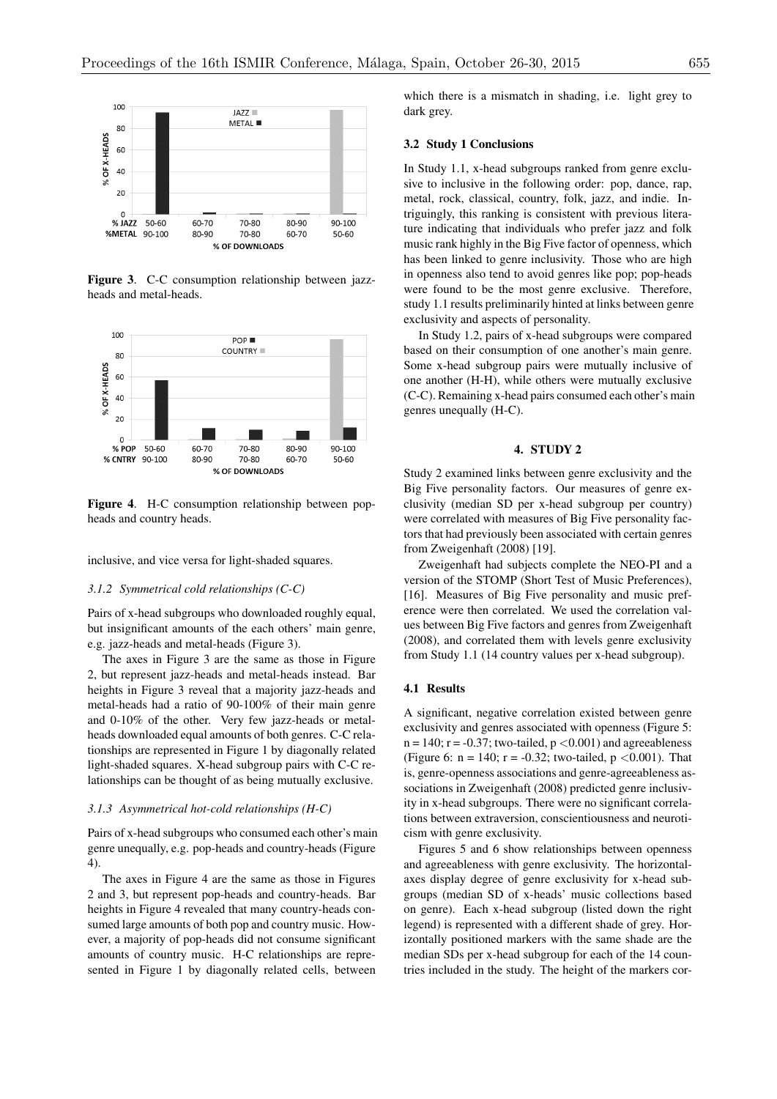

Figure 3. C-C consumption relationship between jazzheads and metal-heads.



Figure 4. H-C consumption relationship between popheads and country heads.

inclusive, and vice versa for light-shaded squares.

#### *3.1.2 Symmetrical cold relationships (C-C)*

Pairs of x-head subgroups who downloaded roughly equal, but insignificant amounts of the each others' main genre, e.g. jazz-heads and metal-heads (Figure 3).

The axes in Figure 3 are the same as those in Figure 2, but represent jazz-heads and metal-heads instead. Bar heights in Figure 3 reveal that a majority jazz-heads and metal-heads had a ratio of 90-100% of their main genre and 0-10% of the other. Very few jazz-heads or metalheads downloaded equal amounts of both genres. C-C relationships are represented in Figure 1 by diagonally related light-shaded squares. X-head subgroup pairs with C-C relationships can be thought of as being mutually exclusive.

### *3.1.3 Asymmetrical hot-cold relationships (H-C)*

Pairs of x-head subgroups who consumed each other's main genre unequally, e.g. pop-heads and country-heads (Figure 4).

The axes in Figure 4 are the same as those in Figures 2 and 3, but represent pop-heads and country-heads. Bar heights in Figure 4 revealed that many country-heads consumed large amounts of both pop and country music. However, a majority of pop-heads did not consume significant amounts of country music. H-C relationships are represented in Figure 1 by diagonally related cells, between which there is a mismatch in shading, i.e. light grey to dark grey.

#### 3.2 Study 1 Conclusions

In Study 1.1, x-head subgroups ranked from genre exclusive to inclusive in the following order: pop, dance, rap, metal, rock, classical, country, folk, jazz, and indie. Intriguingly, this ranking is consistent with previous literature indicating that individuals who prefer jazz and folk music rank highly in the Big Five factor of openness, which has been linked to genre inclusivity. Those who are high in openness also tend to avoid genres like pop; pop-heads were found to be the most genre exclusive. Therefore, study 1.1 results preliminarily hinted at links between genre exclusivity and aspects of personality.

In Study 1.2, pairs of x-head subgroups were compared based on their consumption of one another's main genre. Some x-head subgroup pairs were mutually inclusive of one another (H-H), while others were mutually exclusive (C-C). Remaining x-head pairs consumed each other's main genres unequally (H-C).

#### 4. STUDY 2

Study 2 examined links between genre exclusivity and the Big Five personality factors. Our measures of genre exclusivity (median SD per x-head subgroup per country) were correlated with measures of Big Five personality factors that had previously been associated with certain genres from Zweigenhaft (2008) [19].

Zweigenhaft had subjects complete the NEO-PI and a version of the STOMP (Short Test of Music Preferences), [16]. Measures of Big Five personality and music preference were then correlated. We used the correlation values between Big Five factors and genres from Zweigenhaft (2008), and correlated them with levels genre exclusivity from Study 1.1 (14 country values per x-head subgroup).

## 4.1 Results

A significant, negative correlation existed between genre exclusivity and genres associated with openness (Figure 5: n = 140; r = -0.37; two-tailed, p *<*0.001) and agreeableness (Figure 6: n = 140; r = -0.32; two-tailed, p *<*0.001). That is, genre-openness associations and genre-agreeableness associations in Zweigenhaft (2008) predicted genre inclusivity in x-head subgroups. There were no significant correlations between extraversion, conscientiousness and neuroticism with genre exclusivity.

Figures 5 and 6 show relationships between openness and agreeableness with genre exclusivity. The horizontalaxes display degree of genre exclusivity for x-head subgroups (median SD of x-heads' music collections based on genre). Each x-head subgroup (listed down the right legend) is represented with a different shade of grey. Horizontally positioned markers with the same shade are the median SDs per x-head subgroup for each of the 14 countries included in the study. The height of the markers cor-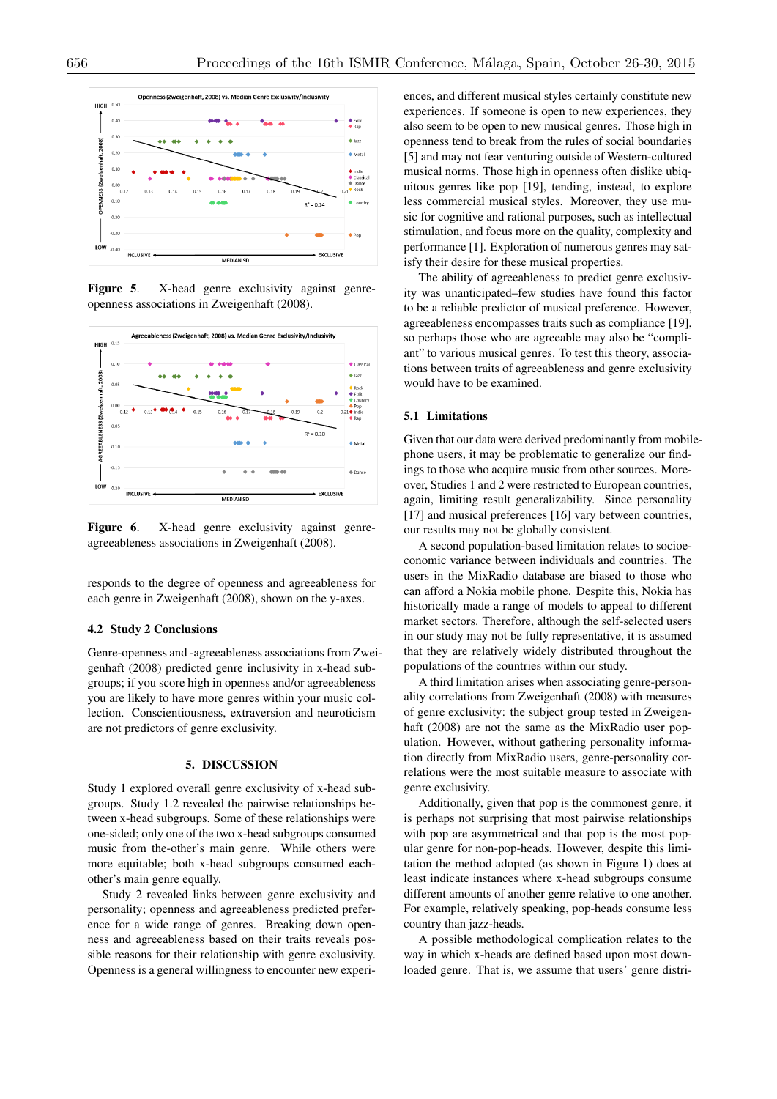

Figure 5. X-head genre exclusivity against genreopenness associations in Zweigenhaft (2008).



Figure 6. X-head genre exclusivity against genreagreeableness associations in Zweigenhaft (2008).

responds to the degree of openness and agreeableness for each genre in Zweigenhaft (2008), shown on the y-axes.

### 4.2 Study 2 Conclusions

Genre-openness and -agreeableness associations from Zweigenhaft (2008) predicted genre inclusivity in x-head subgroups; if you score high in openness and/or agreeableness you are likely to have more genres within your music collection. Conscientiousness, extraversion and neuroticism are not predictors of genre exclusivity.

#### 5. DISCUSSION

Study 1 explored overall genre exclusivity of x-head subgroups. Study 1.2 revealed the pairwise relationships between x-head subgroups. Some of these relationships were one-sided; only one of the two x-head subgroups consumed music from the-other's main genre. While others were more equitable; both x-head subgroups consumed eachother's main genre equally.

Study 2 revealed links between genre exclusivity and personality; openness and agreeableness predicted preference for a wide range of genres. Breaking down openness and agreeableness based on their traits reveals possible reasons for their relationship with genre exclusivity. Openness is a general willingness to encounter new experiences, and different musical styles certainly constitute new experiences. If someone is open to new experiences, they also seem to be open to new musical genres. Those high in openness tend to break from the rules of social boundaries [5] and may not fear venturing outside of Western-cultured musical norms. Those high in openness often dislike ubiquitous genres like pop [19], tending, instead, to explore less commercial musical styles. Moreover, they use music for cognitive and rational purposes, such as intellectual stimulation, and focus more on the quality, complexity and performance [1]. Exploration of numerous genres may satisfy their desire for these musical properties.

The ability of agreeableness to predict genre exclusivity was unanticipated–few studies have found this factor to be a reliable predictor of musical preference. However, agreeableness encompasses traits such as compliance [19], so perhaps those who are agreeable may also be "compliant" to various musical genres. To test this theory, associations between traits of agreeableness and genre exclusivity would have to be examined.

#### 5.1 Limitations

Given that our data were derived predominantly from mobilephone users, it may be problematic to generalize our findings to those who acquire music from other sources. Moreover, Studies 1 and 2 were restricted to European countries, again, limiting result generalizability. Since personality [17] and musical preferences [16] vary between countries, our results may not be globally consistent.

A second population-based limitation relates to socioeconomic variance between individuals and countries. The users in the MixRadio database are biased to those who can afford a Nokia mobile phone. Despite this, Nokia has historically made a range of models to appeal to different market sectors. Therefore, although the self-selected users in our study may not be fully representative, it is assumed that they are relatively widely distributed throughout the populations of the countries within our study.

A third limitation arises when associating genre-personality correlations from Zweigenhaft (2008) with measures of genre exclusivity: the subject group tested in Zweigenhaft (2008) are not the same as the MixRadio user population. However, without gathering personality information directly from MixRadio users, genre-personality correlations were the most suitable measure to associate with genre exclusivity.

Additionally, given that pop is the commonest genre, it is perhaps not surprising that most pairwise relationships with pop are asymmetrical and that pop is the most popular genre for non-pop-heads. However, despite this limitation the method adopted (as shown in Figure 1) does at least indicate instances where x-head subgroups consume different amounts of another genre relative to one another. For example, relatively speaking, pop-heads consume less country than jazz-heads.

A possible methodological complication relates to the way in which x-heads are defined based upon most downloaded genre. That is, we assume that users' genre distri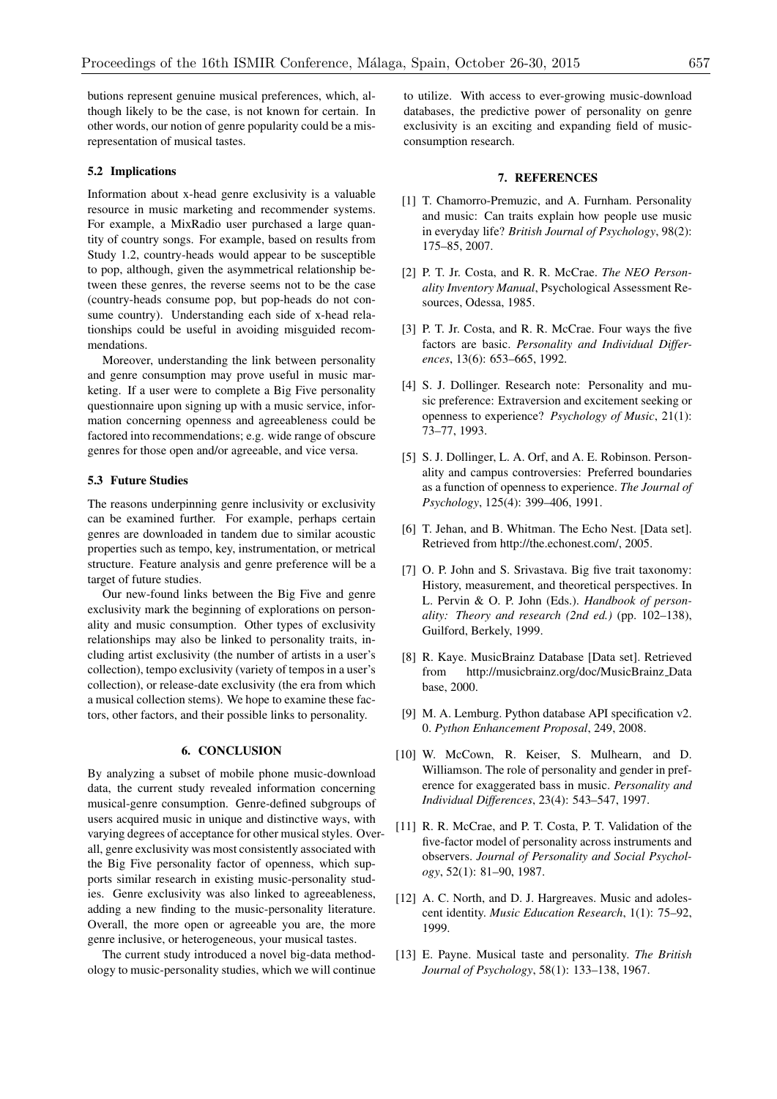butions represent genuine musical preferences, which, although likely to be the case, is not known for certain. In other words, our notion of genre popularity could be a misrepresentation of musical tastes.

#### 5.2 Implications

Information about x-head genre exclusivity is a valuable resource in music marketing and recommender systems. For example, a MixRadio user purchased a large quantity of country songs. For example, based on results from Study 1.2, country-heads would appear to be susceptible to pop, although, given the asymmetrical relationship between these genres, the reverse seems not to be the case (country-heads consume pop, but pop-heads do not consume country). Understanding each side of x-head relationships could be useful in avoiding misguided recommendations.

Moreover, understanding the link between personality and genre consumption may prove useful in music marketing. If a user were to complete a Big Five personality questionnaire upon signing up with a music service, information concerning openness and agreeableness could be factored into recommendations; e.g. wide range of obscure genres for those open and/or agreeable, and vice versa.

# 5.3 Future Studies

The reasons underpinning genre inclusivity or exclusivity can be examined further. For example, perhaps certain genres are downloaded in tandem due to similar acoustic properties such as tempo, key, instrumentation, or metrical structure. Feature analysis and genre preference will be a target of future studies.

Our new-found links between the Big Five and genre exclusivity mark the beginning of explorations on personality and music consumption. Other types of exclusivity relationships may also be linked to personality traits, including artist exclusivity (the number of artists in a user's collection), tempo exclusivity (variety of tempos in a user's collection), or release-date exclusivity (the era from which a musical collection stems). We hope to examine these factors, other factors, and their possible links to personality.

## 6. CONCLUSION

By analyzing a subset of mobile phone music-download data, the current study revealed information concerning musical-genre consumption. Genre-defined subgroups of users acquired music in unique and distinctive ways, with varying degrees of acceptance for other musical styles. Overall, genre exclusivity was most consistently associated with the Big Five personality factor of openness, which supports similar research in existing music-personality studies. Genre exclusivity was also linked to agreeableness, adding a new finding to the music-personality literature. Overall, the more open or agreeable you are, the more genre inclusive, or heterogeneous, your musical tastes.

The current study introduced a novel big-data methodology to music-personality studies, which we will continue to utilize. With access to ever-growing music-download databases, the predictive power of personality on genre exclusivity is an exciting and expanding field of musicconsumption research.

# 7. REFERENCES

- [1] T. Chamorro-Premuzic, and A. Furnham. Personality and music: Can traits explain how people use music in everyday life? *British Journal of Psychology*, 98(2): 175–85, 2007.
- [2] P. T. Jr. Costa, and R. R. McCrae. *The NEO Personality Inventory Manual*, Psychological Assessment Resources, Odessa, 1985.
- [3] P. T. Jr. Costa, and R. R. McCrae. Four ways the five factors are basic. *Personality and Individual Differences*, 13(6): 653–665, 1992.
- [4] S. J. Dollinger. Research note: Personality and music preference: Extraversion and excitement seeking or openness to experience? *Psychology of Music*, 21(1): 73–77, 1993.
- [5] S. J. Dollinger, L. A. Orf, and A. E. Robinson. Personality and campus controversies: Preferred boundaries as a function of openness to experience. *The Journal of Psychology*, 125(4): 399–406, 1991.
- [6] T. Jehan, and B. Whitman. The Echo Nest. [Data set]. Retrieved from http://the.echonest.com/, 2005.
- [7] O. P. John and S. Srivastava. Big five trait taxonomy: History, measurement, and theoretical perspectives. In L. Pervin & O. P. John (Eds.). *Handbook of personality: Theory and research (2nd ed.)* (pp. 102–138), Guilford, Berkely, 1999.
- [8] R. Kaye. MusicBrainz Database [Data set]. Retrieved from http://musicbrainz.org/doc/MusicBrainz Data base, 2000.
- [9] M. A. Lemburg. Python database API specification v2. 0. *Python Enhancement Proposal*, 249, 2008.
- [10] W. McCown, R. Keiser, S. Mulhearn, and D. Williamson. The role of personality and gender in preference for exaggerated bass in music. *Personality and Individual Differences*, 23(4): 543–547, 1997.
- [11] R. R. McCrae, and P. T. Costa, P. T. Validation of the five-factor model of personality across instruments and observers. *Journal of Personality and Social Psychology*, 52(1): 81–90, 1987.
- [12] A. C. North, and D. J. Hargreaves. Music and adolescent identity. *Music Education Research*, 1(1): 75–92, 1999.
- [13] E. Payne. Musical taste and personality. *The British Journal of Psychology*, 58(1): 133–138, 1967.